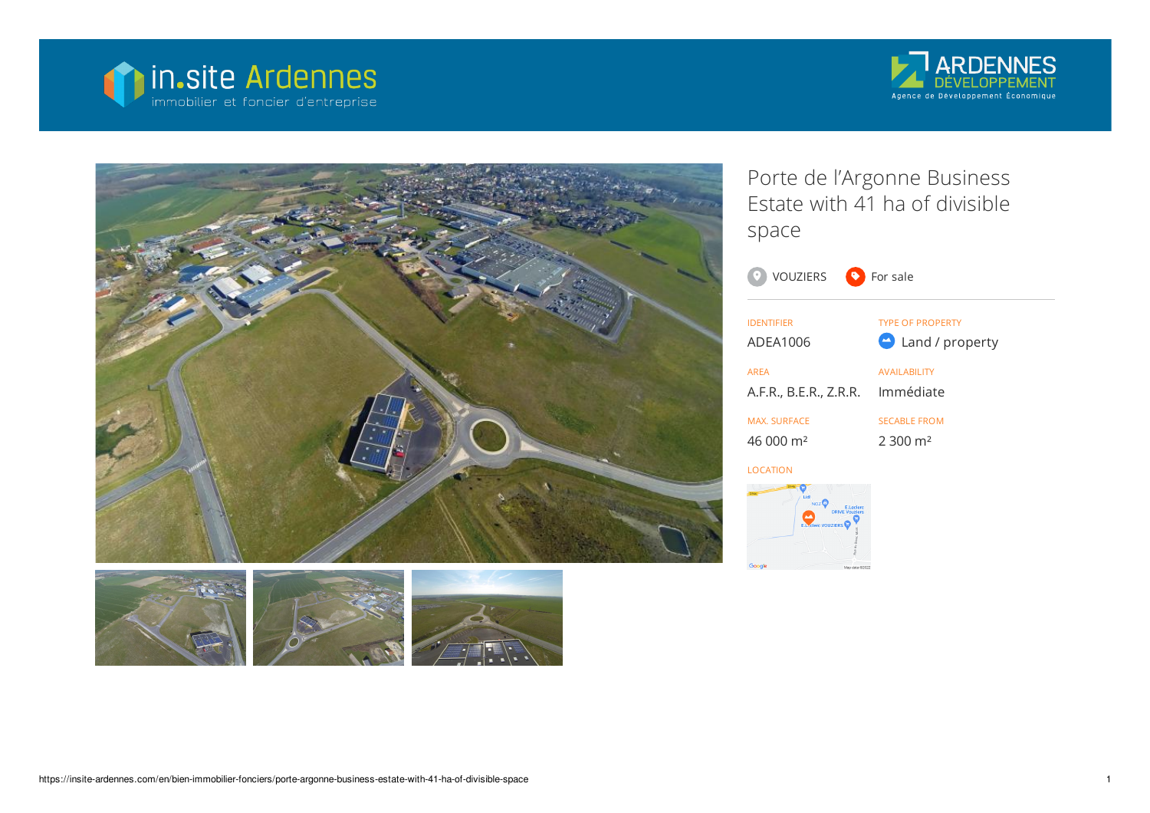







Porte de l'Argonne Business Estate with 41 ha of divisible space



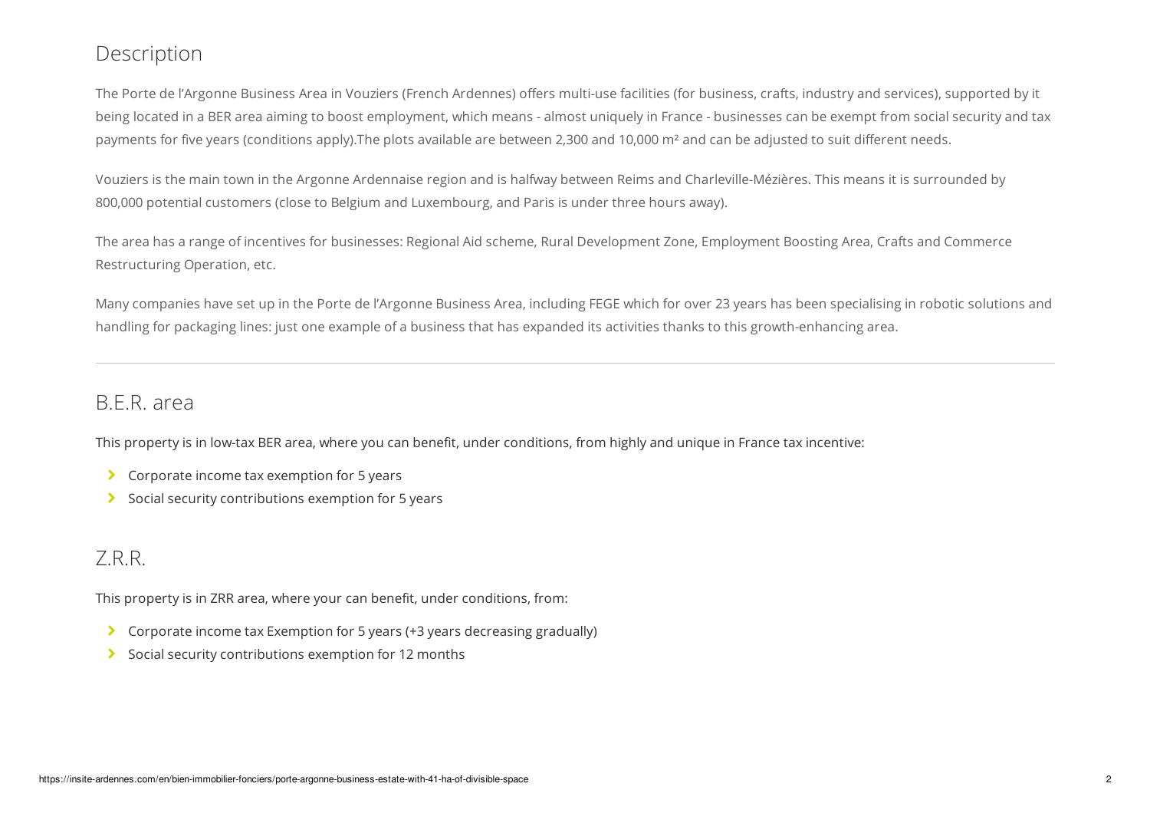## Description

The Porte de l'Argonne Business Area in Vouziers (French Ardennes) offers multi-use facilities (for business, crafts, industry and services), supported by it being located in a BER area aiming to boost employment, which means - almost uniquely in France - businesses can be exempt from social security and tax payments for five years (conditions apply).The plots available are between 2,300 and 10,000 m² and can be adjusted to suit different needs.

Vouziers is the main town in the Argonne Ardennaise region and is halfway between Reims and Charleville-Mézières. This means it is surrounded by 800,000 potential customers (close to Belgium and Luxembourg, and Paris is under three hours away).

The area has a range of incentives for businesses: Regional Aid scheme, Rural Development Zone, Employment Boosting Area, Crafts and Commerce Restructuring Operation, etc.

Many companies have set up in the Porte de l'Argonne Business Area, including FEGE which for over 23 years has been specialising in robotic solutions and handling for packaging lines: just one example of a business that has expanded its activities thanks to this growth-enhancing area.

## B.E.R. area

This property is in low-tax BER area, where you can benefit, under conditions, from highly and unique in France tax incentive:

- **▶ Corporate income tax exemption for 5 years**
- $\triangleright$  Social security contributions exemption for 5 years

## Z.R.R.

This property is in ZRR area, where your can benefit, under conditions, from:

- Corporate income tax Exemption for 5 years (+3 years decreasing gradually)
- $\triangleright$  Social security contributions exemption for 12 months